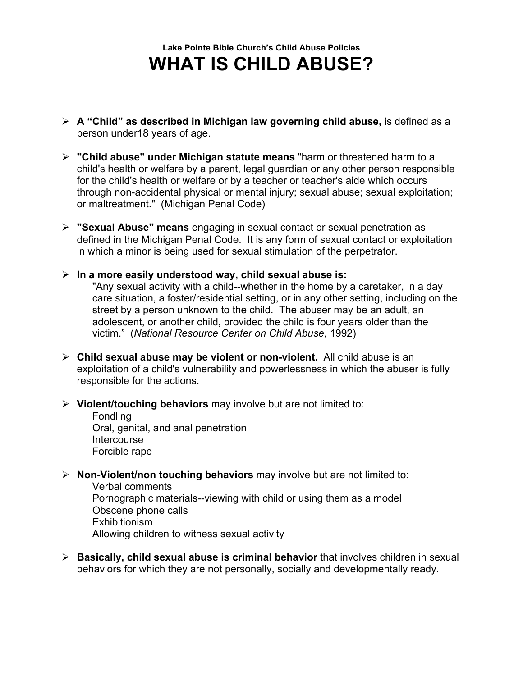## **Lake Pointe Bible Church's Child Abuse Policies WHAT IS CHILD ABUSE?**

- ! **A "Child" as described in Michigan law governing child abuse,** is defined as a person under18 years of age.
- ! **"Child abuse" under Michigan statute means** "harm or threatened harm to a child's health or welfare by a parent, legal guardian or any other person responsible for the child's health or welfare or by a teacher or teacher's aide which occurs through non-accidental physical or mental injury; sexual abuse; sexual exploitation; or maltreatment." (Michigan Penal Code)
- ! **"Sexual Abuse" means** engaging in sexual contact or sexual penetration as defined in the Michigan Penal Code. It is any form of sexual contact or exploitation in which a minor is being used for sexual stimulation of the perpetrator.
- ! **In a more easily understood way, child sexual abuse is:** "Any sexual activity with a child--whether in the home by a caretaker, in a day

care situation, a foster/residential setting, or in any other setting, including on the street by a person unknown to the child. The abuser may be an adult, an adolescent, or another child, provided the child is four years older than the victim." (*National Resource Center on Child Abuse*, 1992)

- ! **Child sexual abuse may be violent or non-violent.** All child abuse is an exploitation of a child's vulnerability and powerlessness in which the abuser is fully responsible for the actions.
- ! **Violent/touching behaviors** may involve but are not limited to:

Fondling Oral, genital, and anal penetration **Intercourse** Forcible rape

! **Non-Violent/non touching behaviors** may involve but are not limited to:

Verbal comments Pornographic materials--viewing with child or using them as a model Obscene phone calls Exhibitionism Allowing children to witness sexual activity

! **Basically, child sexual abuse is criminal behavior** that involves children in sexual behaviors for which they are not personally, socially and developmentally ready.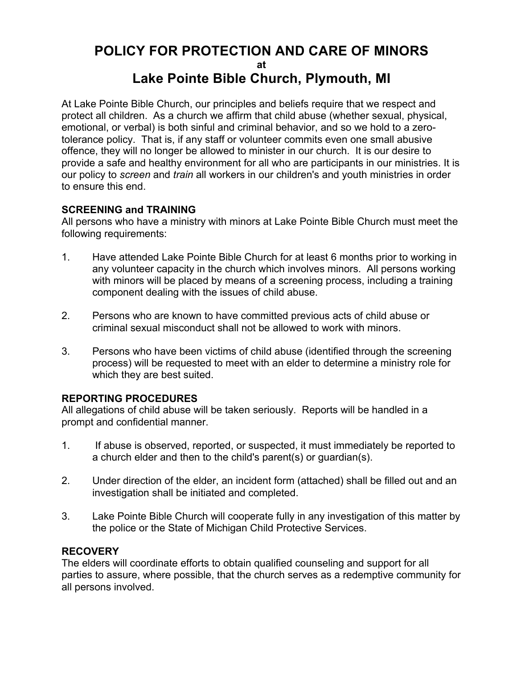### **POLICY FOR PROTECTION AND CARE OF MINORS at Lake Pointe Bible Church, Plymouth, MI**

At Lake Pointe Bible Church, our principles and beliefs require that we respect and protect all children. As a church we affirm that child abuse (whether sexual, physical, emotional, or verbal) is both sinful and criminal behavior, and so we hold to a zerotolerance policy. That is, if any staff or volunteer commits even one small abusive offence, they will no longer be allowed to minister in our church. It is our desire to provide a safe and healthy environment for all who are participants in our ministries. It is our policy to *screen* and *train* all workers in our children's and youth ministries in order to ensure this end.

### **SCREENING and TRAINING**

All persons who have a ministry with minors at Lake Pointe Bible Church must meet the following requirements:

- 1. Have attended Lake Pointe Bible Church for at least 6 months prior to working in any volunteer capacity in the church which involves minors. All persons working with minors will be placed by means of a screening process, including a training component dealing with the issues of child abuse.
- 2. Persons who are known to have committed previous acts of child abuse or criminal sexual misconduct shall not be allowed to work with minors.
- 3. Persons who have been victims of child abuse (identified through the screening process) will be requested to meet with an elder to determine a ministry role for which they are best suited.

### **REPORTING PROCEDURES**

All allegations of child abuse will be taken seriously. Reports will be handled in a prompt and confidential manner.

- 1. If abuse is observed, reported, or suspected, it must immediately be reported to a church elder and then to the child's parent(s) or guardian(s).
- 2. Under direction of the elder, an incident form (attached) shall be filled out and an investigation shall be initiated and completed.
- 3. Lake Pointe Bible Church will cooperate fully in any investigation of this matter by the police or the State of Michigan Child Protective Services.

### **RECOVERY**

The elders will coordinate efforts to obtain qualified counseling and support for all parties to assure, where possible, that the church serves as a redemptive community for all persons involved.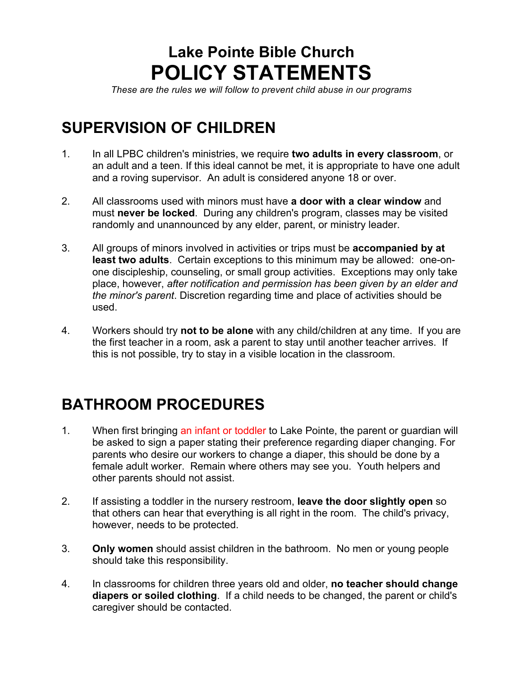# **Lake Pointe Bible Church POLICY STATEMENTS**

*These are the rules we will follow to prevent child abuse in our programs*

## **SUPERVISION OF CHILDREN**

- 1. In all LPBC children's ministries, we require **two adults in every classroom**, or an adult and a teen. If this ideal cannot be met, it is appropriate to have one adult and a roving supervisor. An adult is considered anyone 18 or over.
- 2. All classrooms used with minors must have **a door with a clear window** and must **never be locked**. During any children's program, classes may be visited randomly and unannounced by any elder, parent, or ministry leader.
- 3. All groups of minors involved in activities or trips must be **accompanied by at least two adults**. Certain exceptions to this minimum may be allowed: one-onone discipleship, counseling, or small group activities. Exceptions may only take place, however, *after notification and permission has been given by an elder and the minor's parent*. Discretion regarding time and place of activities should be used.
- 4. Workers should try **not to be alone** with any child/children at any time. If you are the first teacher in a room, ask a parent to stay until another teacher arrives. If this is not possible, try to stay in a visible location in the classroom.

# **BATHROOM PROCEDURES**

- 1. When first bringing an infant or toddler to Lake Pointe, the parent or guardian will be asked to sign a paper stating their preference regarding diaper changing. For parents who desire our workers to change a diaper, this should be done by a female adult worker. Remain where others may see you. Youth helpers and other parents should not assist.
- 2. If assisting a toddler in the nursery restroom, **leave the door slightly open** so that others can hear that everything is all right in the room. The child's privacy, however, needs to be protected.
- 3. **Only women** should assist children in the bathroom. No men or young people should take this responsibility.
- 4. In classrooms for children three years old and older, **no teacher should change diapers or soiled clothing**. If a child needs to be changed, the parent or child's caregiver should be contacted.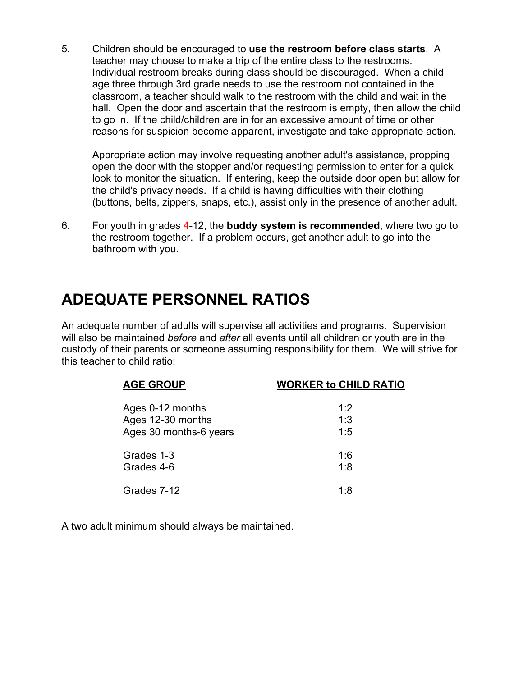5. Children should be encouraged to **use the restroom before class starts**. A teacher may choose to make a trip of the entire class to the restrooms. Individual restroom breaks during class should be discouraged. When a child age three through 3rd grade needs to use the restroom not contained in the classroom, a teacher should walk to the restroom with the child and wait in the hall. Open the door and ascertain that the restroom is empty, then allow the child to go in. If the child/children are in for an excessive amount of time or other reasons for suspicion become apparent, investigate and take appropriate action.

Appropriate action may involve requesting another adult's assistance, propping open the door with the stopper and/or requesting permission to enter for a quick look to monitor the situation. If entering, keep the outside door open but allow for the child's privacy needs. If a child is having difficulties with their clothing (buttons, belts, zippers, snaps, etc.), assist only in the presence of another adult.

6. For youth in grades 4-12, the **buddy system is recommended**, where two go to the restroom together. If a problem occurs, get another adult to go into the bathroom with you.

## **ADEQUATE PERSONNEL RATIOS**

An adequate number of adults will supervise all activities and programs. Supervision will also be maintained *before* and *after* all events until all children or youth are in the custody of their parents or someone assuming responsibility for them. We will strive for this teacher to child ratio:

| <b>AGE GROUP</b>       | <b>WORKER to CHILD RATIO</b> |
|------------------------|------------------------------|
| Ages 0-12 months       | 1.2                          |
| Ages 12-30 months      | 1:3                          |
| Ages 30 months-6 years | 1:5                          |
| Grades 1-3             | 1:6                          |
| Grades 4-6             | 1:8                          |
| Grades 7-12            | 1.8                          |

A two adult minimum should always be maintained.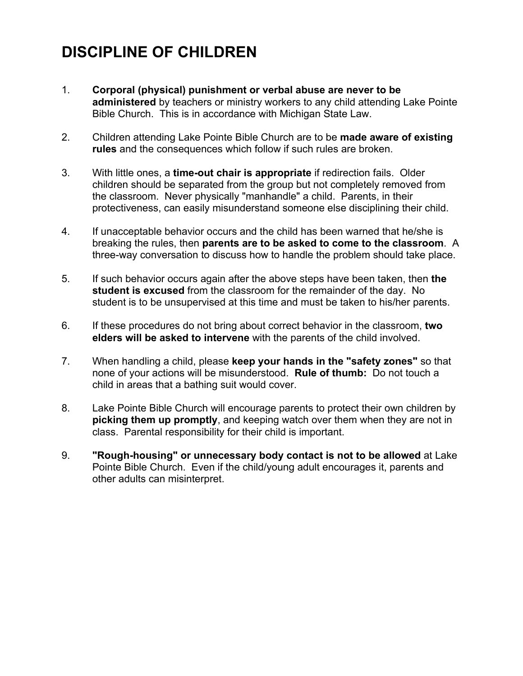# **DISCIPLINE OF CHILDREN**

- 1. **Corporal (physical) punishment or verbal abuse are never to be administered** by teachers or ministry workers to any child attending Lake Pointe Bible Church. This is in accordance with Michigan State Law.
- 2. Children attending Lake Pointe Bible Church are to be **made aware of existing rules** and the consequences which follow if such rules are broken.
- 3. With little ones, a **time-out chair is appropriate** if redirection fails. Older children should be separated from the group but not completely removed from the classroom. Never physically "manhandle" a child. Parents, in their protectiveness, can easily misunderstand someone else disciplining their child.
- 4. If unacceptable behavior occurs and the child has been warned that he/she is breaking the rules, then **parents are to be asked to come to the classroom**. A three-way conversation to discuss how to handle the problem should take place.
- 5. If such behavior occurs again after the above steps have been taken, then **the student is excused** from the classroom for the remainder of the day. No student is to be unsupervised at this time and must be taken to his/her parents.
- 6. If these procedures do not bring about correct behavior in the classroom, **two elders will be asked to intervene** with the parents of the child involved.
- 7. When handling a child, please **keep your hands in the "safety zones"** so that none of your actions will be misunderstood. **Rule of thumb:** Do not touch a child in areas that a bathing suit would cover.
- 8. Lake Pointe Bible Church will encourage parents to protect their own children by **picking them up promptly**, and keeping watch over them when they are not in class. Parental responsibility for their child is important.
- 9. **"Rough-housing" or unnecessary body contact is not to be allowed** at Lake Pointe Bible Church. Even if the child/young adult encourages it, parents and other adults can misinterpret.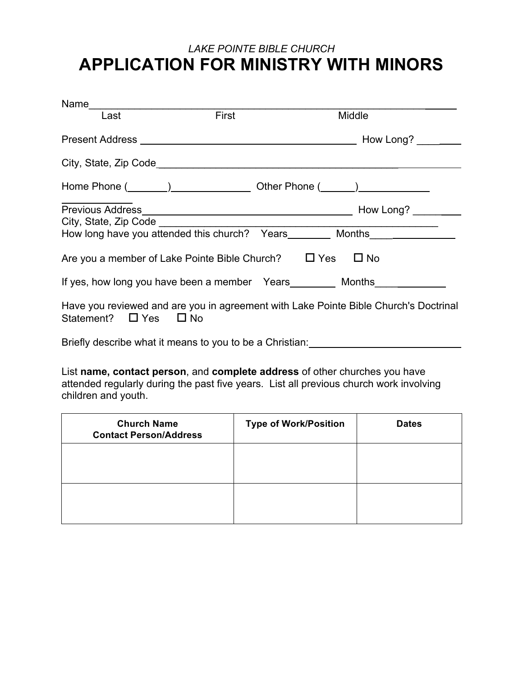## *LAKE POINTE BIBLE CHURCH* **APPLICATION FOR MINISTRY WITH MINORS**

| Name                                                                                                                                                                                                                                 |                                                      |                                                                                      |
|--------------------------------------------------------------------------------------------------------------------------------------------------------------------------------------------------------------------------------------|------------------------------------------------------|--------------------------------------------------------------------------------------|
| Last                                                                                                                                                                                                                                 | <b>First Executive State State State State State</b> | Middle                                                                               |
|                                                                                                                                                                                                                                      |                                                      |                                                                                      |
|                                                                                                                                                                                                                                      |                                                      |                                                                                      |
| Home Phone (Company Company Company Other Phone (Company Company Company Company Company Company Company Company Company Company Company Company Company Company Company Company Company Company Company Company Company Compa       |                                                      |                                                                                      |
|                                                                                                                                                                                                                                      |                                                      |                                                                                      |
|                                                                                                                                                                                                                                      |                                                      |                                                                                      |
|                                                                                                                                                                                                                                      |                                                      |                                                                                      |
| Are you a member of Lake Pointe Bible Church? $\Box$ Yes $\Box$ No                                                                                                                                                                   |                                                      |                                                                                      |
| If yes, how long you have been a member Years _________ Months ________________                                                                                                                                                      |                                                      |                                                                                      |
| Statement? $\Box$ Yes $\Box$ No                                                                                                                                                                                                      |                                                      | Have you reviewed and are you in agreement with Lake Pointe Bible Church's Doctrinal |
| Briefly describe what it means to you to be a Christian: <b>contrary the set of the set of the set of the set of the set of the set of the set of the set of the set of the set of the set of the set of the set of the set of t</b> |                                                      |                                                                                      |

List **name, contact person**, and **complete address** of other churches you have attended regularly during the past five years. List all previous church work involving children and youth.

| <b>Church Name</b><br><b>Contact Person/Address</b> | <b>Type of Work/Position</b> | <b>Dates</b> |
|-----------------------------------------------------|------------------------------|--------------|
|                                                     |                              |              |
|                                                     |                              |              |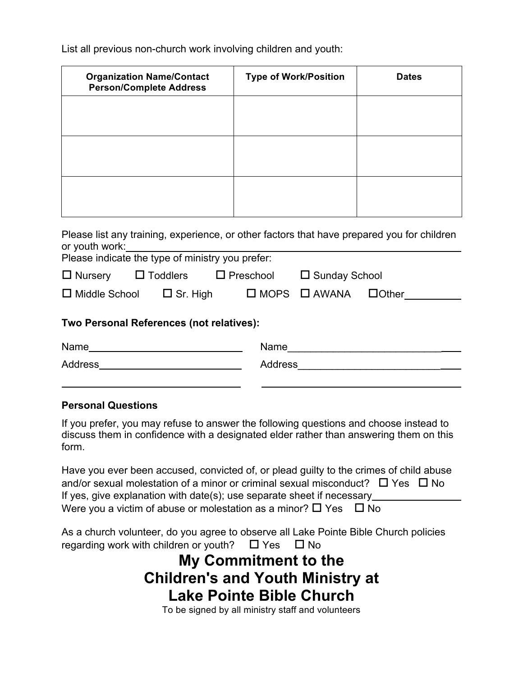List all previous non-church work involving children and youth:

| <b>Organization Name/Contact</b><br><b>Person/Complete Address</b> | <b>Type of Work/Position</b> | <b>Dates</b> |
|--------------------------------------------------------------------|------------------------------|--------------|
|                                                                    |                              |              |
|                                                                    |                              |              |
|                                                                    |                              |              |
|                                                                    |                              |              |

|                  | Please list any training, experience, or other factors that have prepared you for children |
|------------------|--------------------------------------------------------------------------------------------|
| or youth work: l |                                                                                            |
|                  | Please indicate the type of ministry you prefer:                                           |

|                                          |                                      | $\Box$ Nursery $\Box$ Toddlers $\Box$ Preschool $\Box$ Sunday School |                                       |  |  |
|------------------------------------------|--------------------------------------|----------------------------------------------------------------------|---------------------------------------|--|--|
|                                          | $\Box$ Middle School $\Box$ Sr. High |                                                                      | $\Box$ MOPS $\Box$ AWANA $\Box$ Other |  |  |
| Two Personal References (not relatives): |                                      |                                                                      |                                       |  |  |
| Name                                     |                                      | Name                                                                 |                                       |  |  |

Address Address\_\_\_\_\_\_\_\_\_\_\_\_\_\_\_\_\_\_\_\_\_\_\_\_\_

### **Personal Questions**

If you prefer, you may refuse to answer the following questions and choose instead to discuss them in confidence with a designated elder rather than answering them on this form.

\_\_\_\_\_\_\_\_\_\_\_\_\_\_\_\_\_\_\_\_\_\_\_\_\_

| Have you ever been accused, convicted of, or plead guilty to the crimes of child abuse   |
|------------------------------------------------------------------------------------------|
| and/or sexual molestation of a minor or criminal sexual misconduct? $\Box$ Yes $\Box$ No |
| If yes, give explanation with date(s); use separate sheet if necessary                   |
| Were you a victim of abuse or molestation as a minor? $\Box$ Yes $\Box$ No               |

As a church volunteer, do you agree to observe all Lake Pointe Bible Church policies regarding work with children or youth?  $\Box$  Yes  $\Box$  No

## **My Commitment to the Children's and Youth Ministry at Lake Pointe Bible Church**

To be signed by all ministry staff and volunteers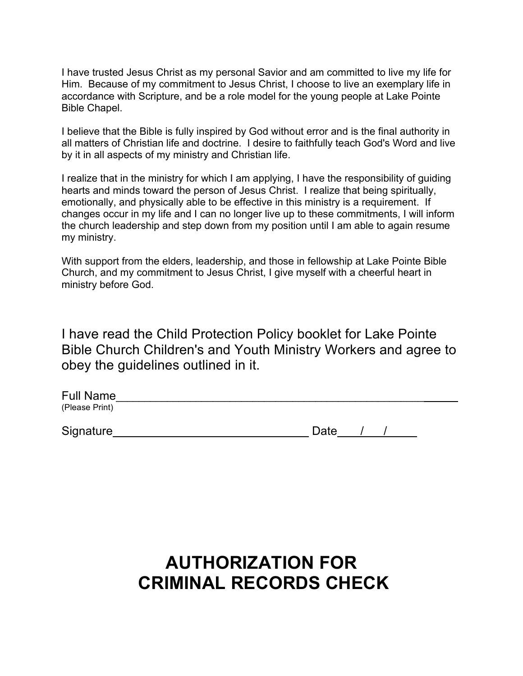I have trusted Jesus Christ as my personal Savior and am committed to live my life for Him. Because of my commitment to Jesus Christ, I choose to live an exemplary life in accordance with Scripture, and be a role model for the young people at Lake Pointe Bible Chapel.

I believe that the Bible is fully inspired by God without error and is the final authority in all matters of Christian life and doctrine. I desire to faithfully teach God's Word and live by it in all aspects of my ministry and Christian life.

I realize that in the ministry for which I am applying, I have the responsibility of guiding hearts and minds toward the person of Jesus Christ. I realize that being spiritually, emotionally, and physically able to be effective in this ministry is a requirement. If changes occur in my life and I can no longer live up to these commitments, I will inform the church leadership and step down from my position until I am able to again resume my ministry.

With support from the elders, leadership, and those in fellowship at Lake Pointe Bible Church, and my commitment to Jesus Christ, I give myself with a cheerful heart in ministry before God.

I have read the Child Protection Policy booklet for Lake Pointe Bible Church Children's and Youth Ministry Workers and agree to obey the guidelines outlined in it.

| <b>Full Name</b> |  |
|------------------|--|
| (Please Print)   |  |

Date / /

# **AUTHORIZATION FOR CRIMINAL RECORDS CHECK**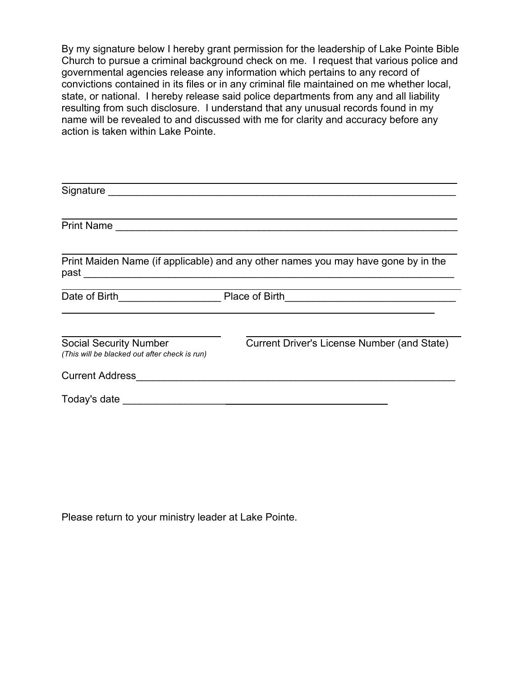By my signature below I hereby grant permission for the leadership of Lake Pointe Bible Church to pursue a criminal background check on me. I request that various police and governmental agencies release any information which pertains to any record of convictions contained in its files or in any criminal file maintained on me whether local, state, or national. I hereby release said police departments from any and all liability resulting from such disclosure. I understand that any unusual records found in my name will be revealed to and discussed with me for clarity and accuracy before any action is taken within Lake Pointe.

| <b>Print Name</b><br><u> 1980 - Jan Barnett, fransk politik (d. 1980)</u>      |                                                                                                                                        |
|--------------------------------------------------------------------------------|----------------------------------------------------------------------------------------------------------------------------------------|
|                                                                                |                                                                                                                                        |
|                                                                                | Print Maiden Name (if applicable) and any other names you may have gone by in the                                                      |
| Date of Birth <b>Date of Birth</b>                                             | Place of Birth<br><u> 1980 - Jan James James James James James James James James James James James James James James James James J</u> |
|                                                                                |                                                                                                                                        |
| <b>Social Security Number</b><br>(This will be blacked out after check is run) | Current Driver's License Number (and State)                                                                                            |
| <b>Current Address</b>                                                         |                                                                                                                                        |
|                                                                                | Today's date and the state of the state of the state of the state of the state of the state of the state of the                        |

Please return to your ministry leader at Lake Pointe.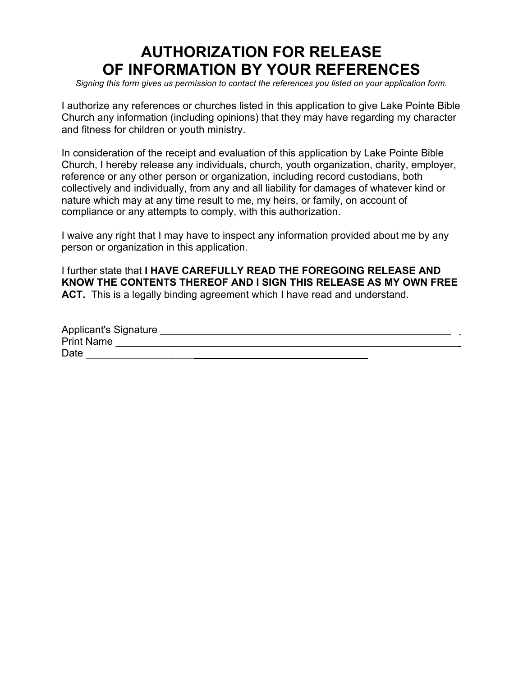## **AUTHORIZATION FOR RELEASE OF INFORMATION BY YOUR REFERENCES**

*Signing this form gives us permission to contact the references you listed on your application form.*

I authorize any references or churches listed in this application to give Lake Pointe Bible Church any information (including opinions) that they may have regarding my character and fitness for children or youth ministry.

In consideration of the receipt and evaluation of this application by Lake Pointe Bible Church, I hereby release any individuals, church, youth organization, charity, employer, reference or any other person or organization, including record custodians, both collectively and individually, from any and all liability for damages of whatever kind or nature which may at any time result to me, my heirs, or family, on account of compliance or any attempts to comply, with this authorization.

I waive any right that I may have to inspect any information provided about me by any person or organization in this application.

I further state that **I HAVE CAREFULLY READ THE FOREGOING RELEASE AND KNOW THE CONTENTS THEREOF AND I SIGN THIS RELEASE AS MY OWN FREE ACT.** This is a legally binding agreement which I have read and understand.

| Applicant's Signature |  |
|-----------------------|--|
| <b>Print Name</b>     |  |
| Date                  |  |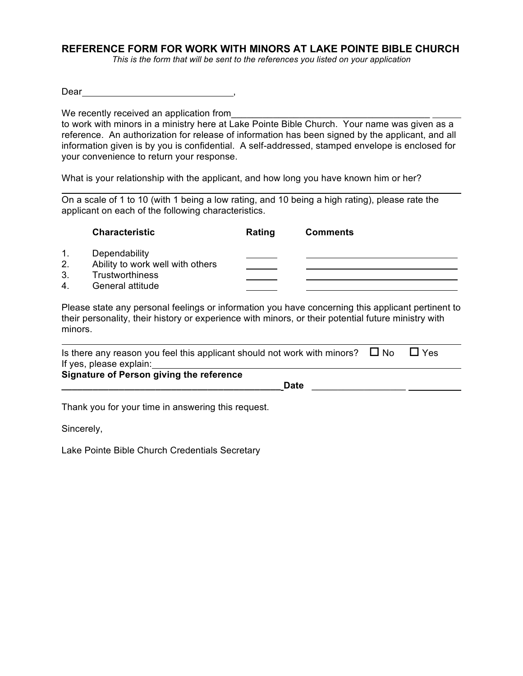#### **REFERENCE FORM FOR WORK WITH MINORS AT LAKE POINTE BIBLE CHURCH**

*This is the form that will be sent to the references you listed on your application*

Dear ,

We recently received an application from

to work with minors in a ministry here at Lake Pointe Bible Church. Your name was given as a reference. An authorization for release of information has been signed by the applicant, and all information given is by you is confidential. A self-addressed, stamped envelope is enclosed for your convenience to return your response.

What is your relationship with the applicant, and how long you have known him or her?

 $\overline{a}$ On a scale of 1 to 10 (with 1 being a low rating, and 10 being a high rating), please rate the applicant on each of the following characteristics.

|    | <b>Characteristic</b>            | Rating | <b>Comments</b> |  |
|----|----------------------------------|--------|-----------------|--|
| 1. | Dependability                    |        |                 |  |
| 2. | Ability to work well with others |        |                 |  |
| 3. | <b>Trustworthiness</b>           |        |                 |  |
| 4  | General attitude                 |        |                 |  |

Please state any personal feelings or information you have concerning this applicant pertinent to their personality, their history or experience with minors, or their potential future ministry with minors.

| Is there any reason you feel this applicant should not work with minors? $\Box$ No |  | $\sqcup$ Yes |  |
|------------------------------------------------------------------------------------|--|--------------|--|
| If yes, please explain:                                                            |  |              |  |
| <b>Signature of Person giving the reference</b>                                    |  |              |  |
| <b>Date</b>                                                                        |  |              |  |

Thank you for your time in answering this request.

Sincerely,

Lake Pointe Bible Church Credentials Secretary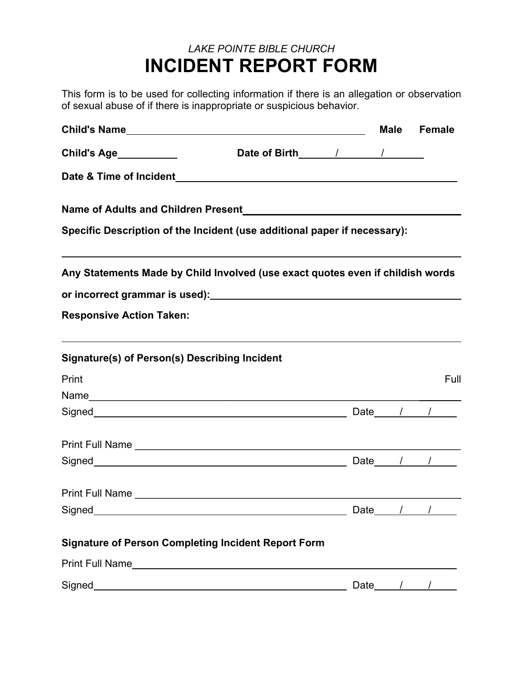## *LAKE POINTE BIBLE CHURCH* **INCIDENT REPORT FORM**

This form is to be used for collecting information if there is an allegation or observation of sexual abuse of if there is inappropriate or suspicious behavior.

|                                                                                                                                                                                                                                    |                                                    |        | Male Female |
|------------------------------------------------------------------------------------------------------------------------------------------------------------------------------------------------------------------------------------|----------------------------------------------------|--------|-------------|
| <b>Child's Age__________</b>                                                                                                                                                                                                       |                                                    |        |             |
| Date & Time of Incident                                                                                                                                                                                                            | <u> 1989 - John Stein, Amerikaansk politiker (</u> |        |             |
|                                                                                                                                                                                                                                    |                                                    |        |             |
| Specific Description of the Incident (use additional paper if necessary):                                                                                                                                                          |                                                    |        |             |
| Any Statements Made by Child Involved (use exact quotes even if childish words                                                                                                                                                     |                                                    |        |             |
|                                                                                                                                                                                                                                    |                                                    |        |             |
| <b>Responsive Action Taken:</b>                                                                                                                                                                                                    |                                                    |        |             |
| ,我们也不会有什么。""我们的人,我们也不会有什么?""我们的人,我们也不会有什么?""我们的人,我们的人,我们也不会有什么?""我们的人,我们的人,我们的人,<br>Signature(s) of Person(s) Describing Incident                                                                                                  |                                                    |        |             |
| Print                                                                                                                                                                                                                              |                                                    |        | Full        |
|                                                                                                                                                                                                                                    |                                                    |        |             |
|                                                                                                                                                                                                                                    |                                                    |        |             |
|                                                                                                                                                                                                                                    |                                                    |        |             |
| Signed <b>Date</b> 1 1                                                                                                                                                                                                             |                                                    |        |             |
| Print Full Name <u>experience</u> and the contract of the contract of the contract of the contract of the contract of the contract of the contract of the contract of the contract of the contract of the contract of the contract |                                                    |        |             |
| Signed                                                                                                                                                                                                                             |                                                    | Date__ |             |
| <b>Signature of Person Completing Incident Report Form</b>                                                                                                                                                                         |                                                    |        |             |
| Print Full Name                                                                                                                                                                                                                    |                                                    |        |             |
| Signed <b>Signed Signed Signed Signed Signed Signed Signed Signed Signed Signed Signed Signed Signed Signed Signed Signed Signed Signed Signed Signed Signed Signed Signed Signed</b>                                              |                                                    | Date   |             |